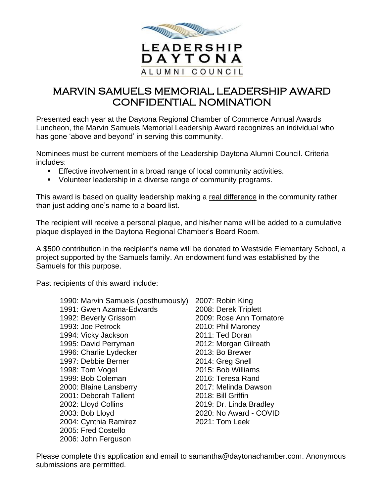

## MARVIN SAMUELS MEMORIAL LEADERSHIP AWARD CONFIDENTIAL NOMINATION

Presented each year at the Daytona Regional Chamber of Commerce Annual Awards Luncheon, the Marvin Samuels Memorial Leadership Award recognizes an individual who has gone 'above and beyond' in serving this community.

Nominees must be current members of the Leadership Daytona Alumni Council. Criteria includes:

- **Effective involvement in a broad range of local community activities.**
- Volunteer leadership in a diverse range of community programs.

This award is based on quality leadership making a real difference in the community rather than just adding one's name to a board list.

The recipient will receive a personal plaque, and his/her name will be added to a cumulative plaque displayed in the Daytona Regional Chamber's Board Room.

A \$500 contribution in the recipient's name will be donated to Westside Elementary School, a project supported by the Samuels family. An endowment fund was established by the Samuels for this purpose.

Past recipients of this award include:

| 1990: Marvin Samuels (posthumously) | 2007: Robin King         |
|-------------------------------------|--------------------------|
| 1991: Gwen Azama-Edwards            | 2008: Derek Triplett     |
| 1992: Beverly Grissom               | 2009: Rose Ann Tornatore |
| 1993: Joe Petrock                   | 2010: Phil Maroney       |
| 1994: Vicky Jackson                 | 2011: Ted Doran          |
| 1995: David Perryman                | 2012: Morgan Gilreath    |
| 1996: Charlie Lydecker              | 2013: Bo Brewer          |
| 1997: Debbie Berner                 | 2014: Greg Snell         |
| 1998: Tom Vogel                     | 2015: Bob Williams       |
| 1999: Bob Coleman                   | 2016: Teresa Rand        |
| 2000: Blaine Lansberry              | 2017: Melinda Dawson     |
| 2001: Deborah Tallent               | 2018: Bill Griffin       |
| 2002: Lloyd Collins                 | 2019: Dr. Linda Bradley  |
| 2003: Bob Lloyd                     | 2020: No Award - COVID   |
| 2004: Cynthia Ramirez               | 2021: Tom Leek           |
| 2005: Fred Costello                 |                          |
| 2006: John Ferguson                 |                          |

Please complete this application and email to samantha@daytonachamber.com. Anonymous submissions are permitted.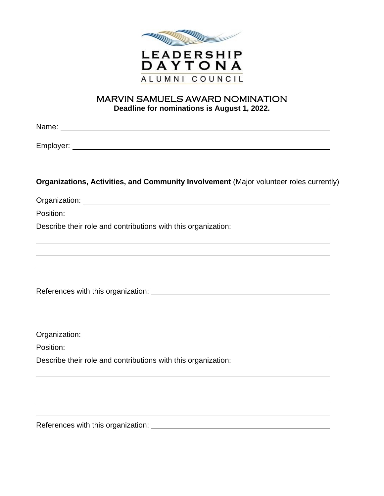

## MARVIN SAMUELS AWARD NOMINATION **Deadline for nominations is August 1, 2022.**

| Organizations, Activities, and Community Involvement (Major volunteer roles currently)                                                    |
|-------------------------------------------------------------------------------------------------------------------------------------------|
|                                                                                                                                           |
|                                                                                                                                           |
| Describe their role and contributions with this organization:                                                                             |
| ,我们也不能在这里的时候,我们也不能在这里的时候,我们也不能会不能会不能会不能会不能会不能会不能会不能会。<br>第2012章 我们的时候,我们的时候,我们的时候,我们的时候,我们的时候,我们的时候,我们的时候,我们的时候,我们的时候,我们的时候,我们的时候,我们的时候,我 |
|                                                                                                                                           |
|                                                                                                                                           |
|                                                                                                                                           |
|                                                                                                                                           |
|                                                                                                                                           |
|                                                                                                                                           |
|                                                                                                                                           |
| Describe their role and contributions with this organization:                                                                             |
|                                                                                                                                           |
| ,我们也不会有什么。""我们的人,我们也不会有什么?""我们的人,我们也不会有什么?""我们的人,我们也不会有什么?""我们的人,我们也不会有什么?""我们的人                                                          |
| ,我们也不会有什么。""我们的人,我们也不会有什么?""我们的人,我们也不会有什么?""我们的人,我们的人,我们也不会有什么?""我们的人,我们的人,我们的人,                                                          |
| References with this organization:                                                                                                        |